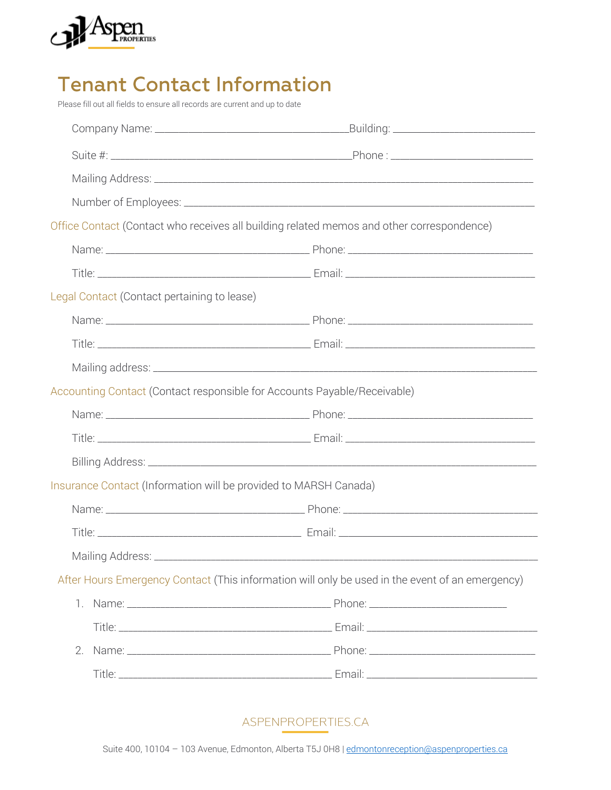

## **Tenant Contact Information**

Please fill out all fields to ensure all records are current and up to date

|                                                                          | Office Contact (Contact who receives all building related memos and other correspondence)       |
|--------------------------------------------------------------------------|-------------------------------------------------------------------------------------------------|
|                                                                          |                                                                                                 |
|                                                                          |                                                                                                 |
| Legal Contact (Contact pertaining to lease)                              |                                                                                                 |
|                                                                          |                                                                                                 |
|                                                                          |                                                                                                 |
|                                                                          |                                                                                                 |
| Accounting Contact (Contact responsible for Accounts Payable/Receivable) |                                                                                                 |
|                                                                          |                                                                                                 |
|                                                                          |                                                                                                 |
|                                                                          |                                                                                                 |
| Insurance Contact (Information will be provided to MARSH Canada)         |                                                                                                 |
|                                                                          |                                                                                                 |
|                                                                          |                                                                                                 |
|                                                                          |                                                                                                 |
|                                                                          | After Hours Emergency Contact (This information will only be used in the event of an emergency) |
| $\mathbb{1}$ .                                                           |                                                                                                 |
|                                                                          |                                                                                                 |
| 2.                                                                       |                                                                                                 |
|                                                                          |                                                                                                 |
|                                                                          |                                                                                                 |

ASPENPROPERTIES.CA